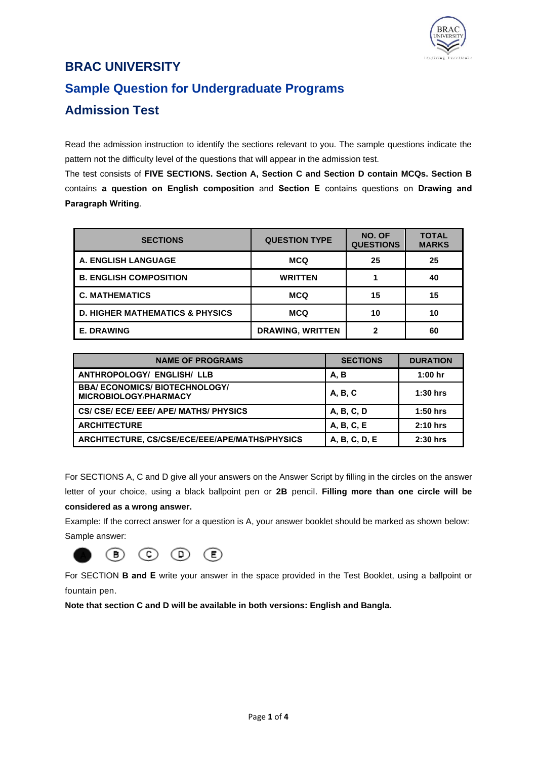

# **BRAC UNIVERSITY Sample Question for Undergraduate Programs**

## **Admission Test**

Read the admission instruction to identify the sections relevant to you. The sample questions indicate the pattern not the difficulty level of the questions that will appear in the admission test.

The test consists of **FIVE SECTIONS. Section A, Section C and Section D contain MCQs. Section B** contains **a question on English composition** and **Section E** contains questions on **Drawing and Paragraph Writing**.

| <b>SECTIONS</b>                            | <b>QUESTION TYPE</b>    | NO. OF<br><b>QUESTIONS</b> | <b>TOTAL</b><br><b>MARKS</b> |
|--------------------------------------------|-------------------------|----------------------------|------------------------------|
| <b>A. ENGLISH LANGUAGE</b>                 | <b>MCQ</b>              | 25                         | 25                           |
| <b>B. ENGLISH COMPOSITION</b>              | <b>WRITTEN</b>          |                            | 40                           |
| <b>C. MATHEMATICS</b>                      | <b>MCQ</b>              | 15                         | 15                           |
| <b>D. HIGHER MATHEMATICS &amp; PHYSICS</b> | <b>MCQ</b>              | 10                         | 10                           |
| <b>E. DRAWING</b>                          | <b>DRAWING, WRITTEN</b> | 2                          | 60                           |

| <b>NAME OF PROGRAMS</b>                                             | <b>SECTIONS</b> | <b>DURATION</b> |
|---------------------------------------------------------------------|-----------------|-----------------|
| <b>ANTHROPOLOGY/ ENGLISH/ LLB</b>                                   | A, B            | $1:00$ hr       |
| <b>BBA/ECONOMICS/BIOTECHNOLOGY/</b><br><b>MICROBIOLOGY/PHARMACY</b> | A, B, C         | $1:30$ hrs      |
| CS/ CSE/ ECE/ EEE/ APE/ MATHS/ PHYSICS                              | A, B, C, D      | $1:50$ hrs      |
| <b>ARCHITECTURE</b>                                                 | A, B, C, E      | $2:10$ hrs      |
| ARCHITECTURE, CS/CSE/ECE/EEE/APE/MATHS/PHYSICS                      | A, B, C, D, E   | $2:30$ hrs      |

For SECTIONS A, C and D give all your answers on the Answer Script by filling in the circles on the answer letter of your choice, using a black ballpoint pen or **2B** pencil. **Filling more than one circle will be considered as a wrong answer.**

Example: If the correct answer for a question is A, your answer booklet should be marked as shown below: Sample answer:



For SECTION **B and E** write your answer in the space provided in the Test Booklet, using a ballpoint or fountain pen.

**Note that section C and D will be available in both versions: English and Bangla.**

(E)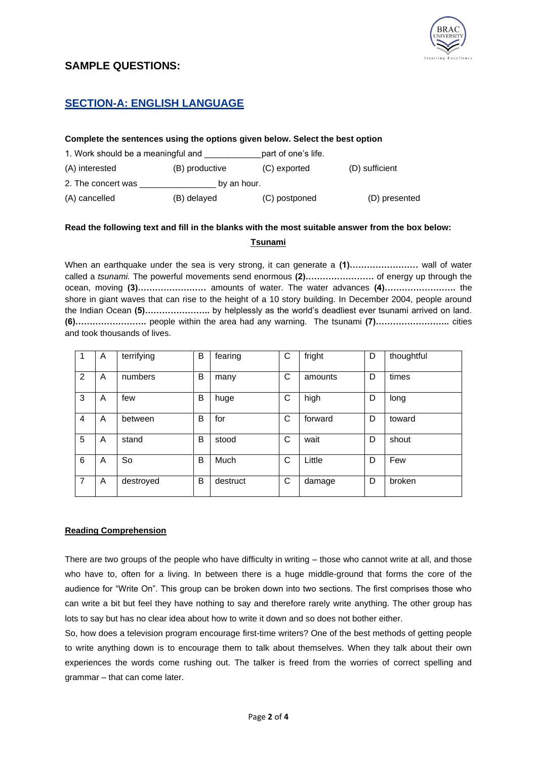

## **SAMPLE QUESTIONS:**

## **SECTION-A: ENGLISH LANGUAGE**

#### **Complete the sentences using the options given below. Select the best option**

| 1. Work should be a meaningful and |                | part of one's life. |                |  |  |  |
|------------------------------------|----------------|---------------------|----------------|--|--|--|
| (A) interested                     | (B) productive | (C) exported        | (D) sufficient |  |  |  |
| 2. The concert was<br>by an hour.  |                |                     |                |  |  |  |
| (A) cancelled                      | (B) delayed    | (C) postponed       | (D) presented  |  |  |  |

## **Read the following text and fill in the blanks with the most suitable answer from the box below: Tsunami**

When an earthquake under the sea is very strong, it can generate a **(1)……………………** wall of water called a *tsunami.* The powerful movements send enormous **(2)……………………** of energy up through the ocean, moving **(3)……………………** amounts of water. The water advances **(4)…………………….** the shore in giant waves that can rise to the height of a 10 story building. In December 2004, people around the Indian Ocean **(5)…………………..** by helplessly as the world's deadliest ever tsunami arrived on land. **(6)…………………….** people within the area had any warning. The tsunami **(7)……………………..** cities and took thousands of lives.

|   | A | terrifying | B | fearing  | С | fright  | D | thoughtful |
|---|---|------------|---|----------|---|---------|---|------------|
| 2 | A | numbers    | B | many     | С | amounts | D | times      |
| 3 | A | few        | B | huge     | С | high    | D | long       |
| 4 | A | between    | B | for      | С | forward | D | toward     |
| 5 | A | stand      | B | stood    | С | wait    | D | shout      |
| 6 | A | So         | B | Much     | С | Little  | D | Few        |
| 7 | A | destroyed  | B | destruct | С | damage  | D | broken     |

#### **Reading Comprehension**

There are two groups of the people who have difficulty in writing – those who cannot write at all, and those who have to, often for a living. In between there is a huge middle-ground that forms the core of the audience for "Write On". This group can be broken down into two sections. The first comprises those who can write a bit but feel they have nothing to say and therefore rarely write anything. The other group has lots to say but has no clear idea about how to write it down and so does not bother either.

So, how does a television program encourage first-time writers? One of the best methods of getting people to write anything down is to encourage them to talk about themselves. When they talk about their own experiences the words come rushing out. The talker is freed from the worries of correct spelling and grammar – that can come later.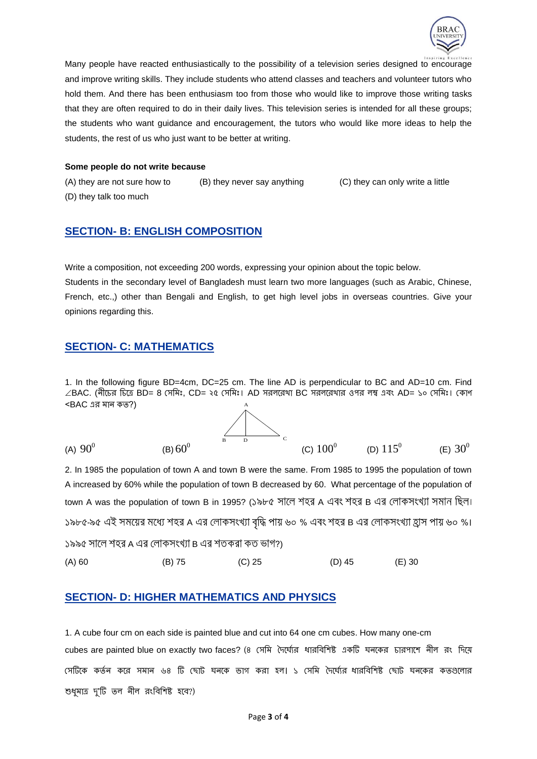

Many people have reacted enthusiastically to the possibility of a television series designed to encourage and improve writing skills. They include students who attend classes and teachers and volunteer tutors who hold them. And there has been enthusiasm too from those who would like to improve those writing tasks that they are often required to do in their daily lives. This television series is intended for all these groups; the students who want guidance and encouragement, the tutors who would like more ideas to help the students, the rest of us who just want to be better at writing.

#### **Some people do not write because**

(A) they are not sure how to (B) they never say anything (C) they can only write a little (D) they talk too much

#### **SECTION- B: ENGLISH COMPOSITION**

Write a composition, not exceeding 200 words, expressing your opinion about the topic below. Students in the secondary level of Bangladesh must learn two more languages (such as Arabic, Chinese, French, etc.,) other than Bengali and English, to get high level jobs in overseas countries. Give your opinions regarding this.

#### **SECTION- C: MATHEMATICS**

1. In the following figure BD=4cm, DC=25 cm. The line AD is perpendicular to BC and AD=10 cm. Find  $\angle$ BAC. (নীচের চিত্রে BD= 8 সেমিঃ, CD= ২৫ সেমিঃ। AD সরলরেখা BC সরলরেখার ওপর লম্ব এবং AD= ১০ সেমিঃ। কোণ  $\leq$ BAC এর মান কত?) A

(A)  $90^0$ (B)  $60^0$  $60^0$  (C)  $100^0$  (D)  $115^0$  (E)  $30^0$  $\overline{B}$  D C

2. In 1985 the population of town A and town B were the same. From 1985 to 1995 the population of town A increased by 60% while the population of town B decreased by 60. What percentage of the population of town A was the population of town B in 1995? (১৯৮৫ সালে শহর A এবং শহর B এর লোকসংখ্যা সমান ছিল। ১৯৮৫-৯৫ এই সময়ের মধ্যে শহর A এর লোকসংখ্যা বৃদ্ধি পায় ৬০ % এবং শহর B এর লোকসংখ্যা হ্রাস পায় ৬০ %। ১৯৯৫ সালে শহর A এর লোকসংখ্যা B এর শতকরা কত ভাগ?) (A) 60 (B) 75 (C) 25 (D) 45 (E) 30

#### **SECTION- D: HIGHER MATHEMATICS AND PHYSICS**

1. A cube four cm on each side is painted blue and cut into 64 one cm cubes. How many one-cm cubes are painted blue on exactly two faces? (৪ সেমি দৈর্ঘ্যের ধারবিশিষ্ট একটি ঘনকের চারপাশে নীল রং দিয়ে সেটিকে কর্তন করে সমান ৬৪ টি ছোট ঘনকে ভাগ করা হল। ১ সেমি দৈর্ঘ্যের ধারবিশিষ্ট ছোট ঘনকের কতগুলোর শুধুমাত্র দু'টি তল নীল রংবিশিষ্ট হবে?)